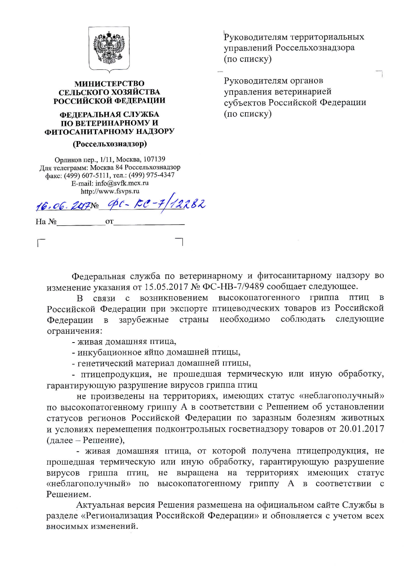

## **МИНИСТЕРСТВО** СЕЛЬСКОГО ХОЗЯЙСТВА РОССИЙСКОЙ ФЕДЕРАЦИИ

## ФЕДЕРАЛЬНАЯ СЛУЖБА ПО ВЕТЕРИНАРНОМУ И ФИТОСАНИТАРНОМУ НАДЗОРУ

## (Россельхознадзор)

Орликов пер., 1/11, Москва, 107139 Для телеграмм: Москва 84 Россельхознадзор факс: (499) 607-5111, тел.: (499) 975-4347 E-mail: info@svfk.mcx.ru http://www.fsvps.ru

OT

16.06.20PNO 40-FC-7/12282

Ha No

Руководителям территориальных управлений Россельхознадзора (по списку)

Руководителям органов управления ветеринарией субъектов Российской Федерации (по списку)

Федеральная служба по ветеринарному и фитосанитарному надзору во изменение указания от 15.05.2017 № ФС-НВ-7/9489 сообщает следующее.

В связи с возникновением высокопатогенного гриппа птиц  $\bf{B}$ Российской Федерации при экспорте птицеводческих товаров из Российской необходимо соблюдать зарубежные страны следующие Федерации  $\, {\bf B}$ ограничения:

- живая домашняя птица,

- инкубационное яйцо домашней птицы,

- генетический материал домашней птицы,

- птицепродукция, не прошедшая термическую или иную обработку, гарантирующую разрушение вирусов гриппа птиц

не произведены на территориях, имеющих статус «неблагополучный» по высокопатогенному гриппу А в соответствии с Решением об установлении статусов регионов Российской Федерации по заразным болезням животных и условиях перемещения подконтрольных госветнадзору товаров от 20.01.2017 (далее – Решение),

- живая домашняя птица, от которой получена птицепродукция, не прошедшая термическую или иную обработку, гарантирующую разрушение вирусов гриппа птиц, не выращена на территориях имеющих статус «неблагополучный» по высокопатогенному гриппу А в соответствии с Решением.

Актуальная версия Решения размещена на официальном сайте Службы в разделе «Регионализация Российской Федерации» и обновляется с учетом всех вносимых изменений.